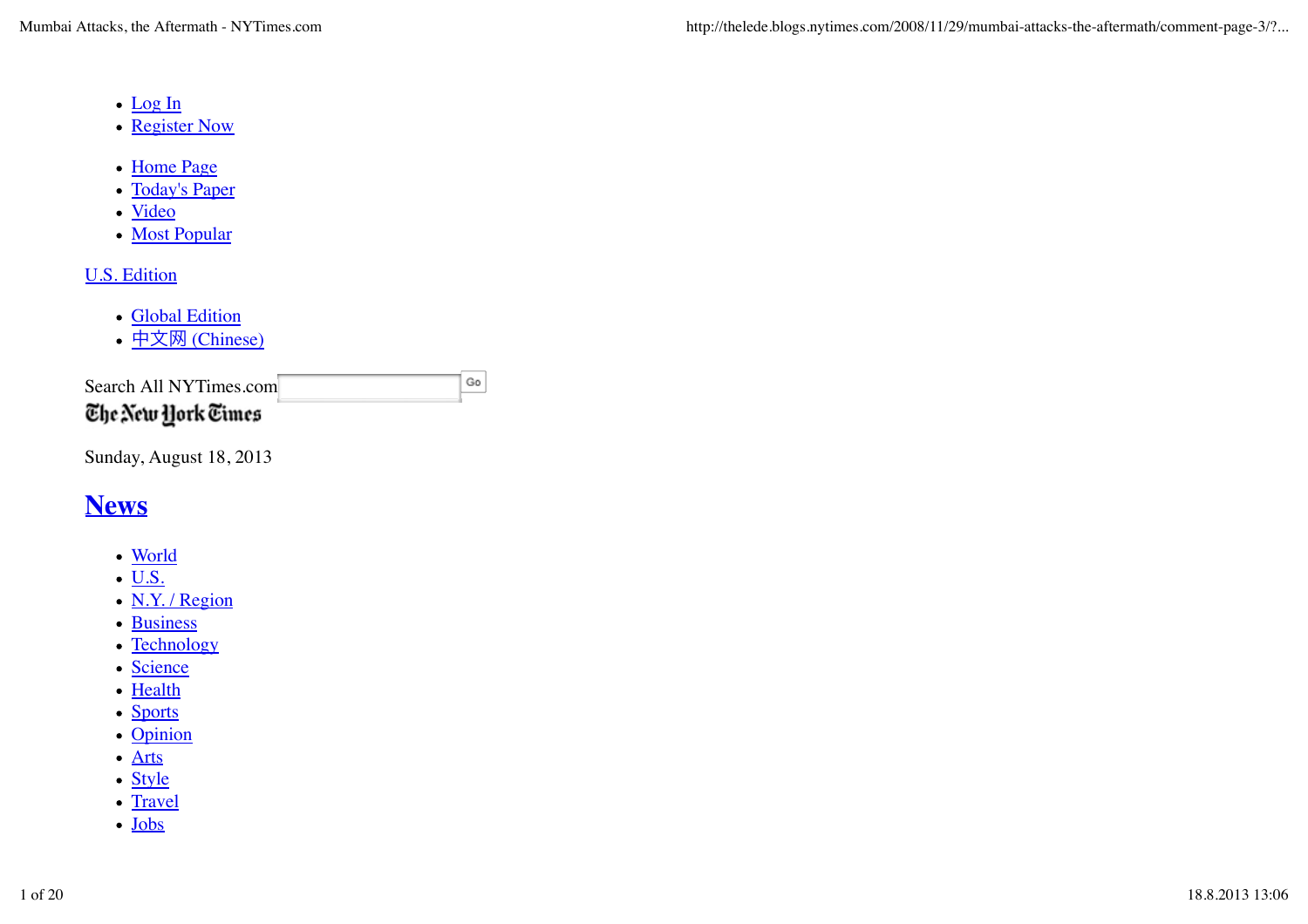- Log In
- Register Now
- Home Page
- Today's Paper
- <u>Video</u>
- Most Popular

#### U.S. Edition

- Global Edition
- 中文网 (Chinese)

Search All NYTimes.com The New York Times

 $_{\rm Go}$ 

Sunday, August 18, 2013

### **News**

- World
- $\bullet$  U.S.
- N.Y. / Region
- Business
- Technology
- Science
- Health
- Sports
- Opinion
- Arts
- Style
- Travel
- Jobs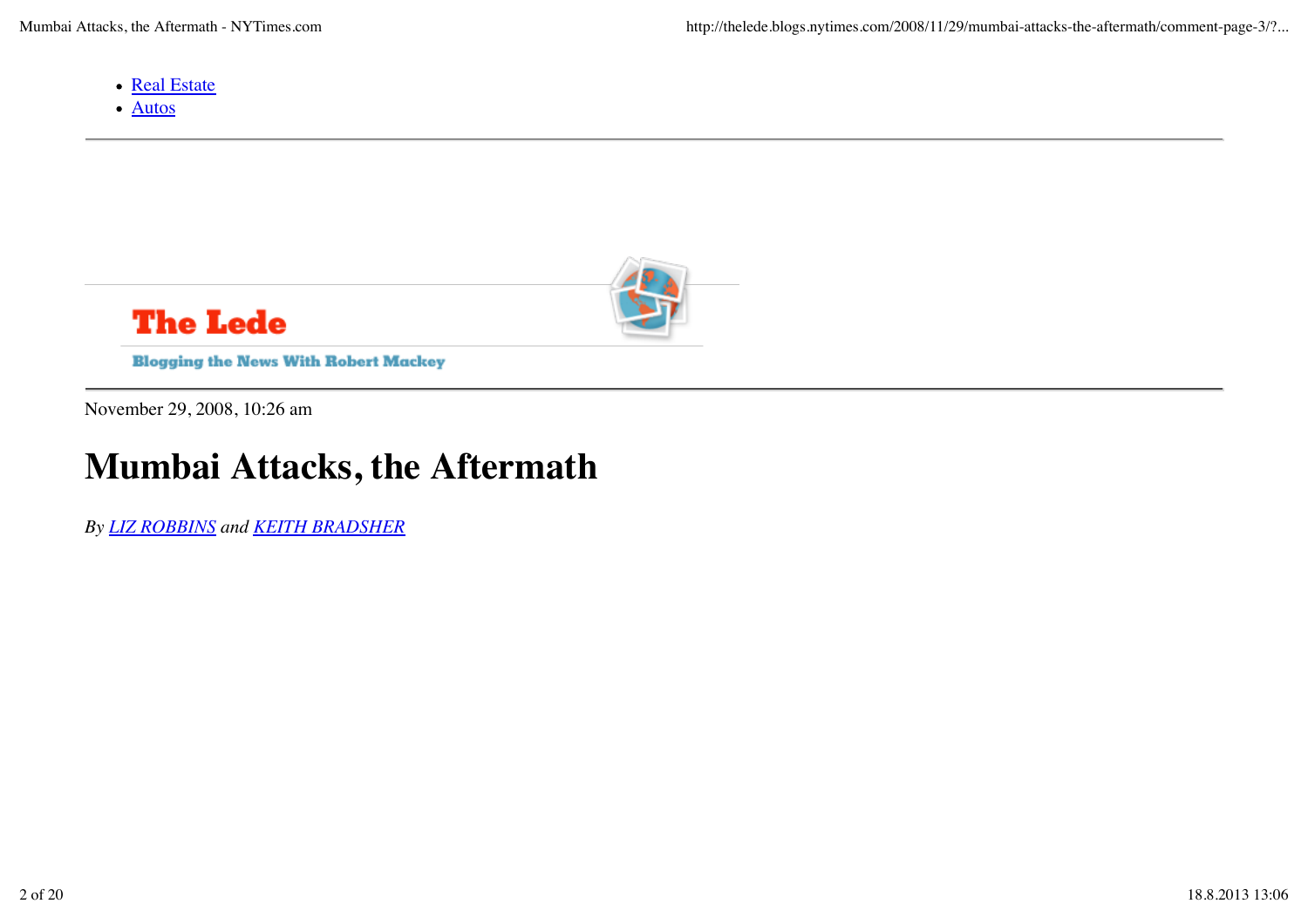- Real Estate
- Autos



## **The Lede**

**Blogging the News With Robert Mackey** 

November 29, 2008, 10:26 am

# **Mumbai Attacks, the Aftermath**

*By LIZ ROBBINS and KEITH BRADSHER*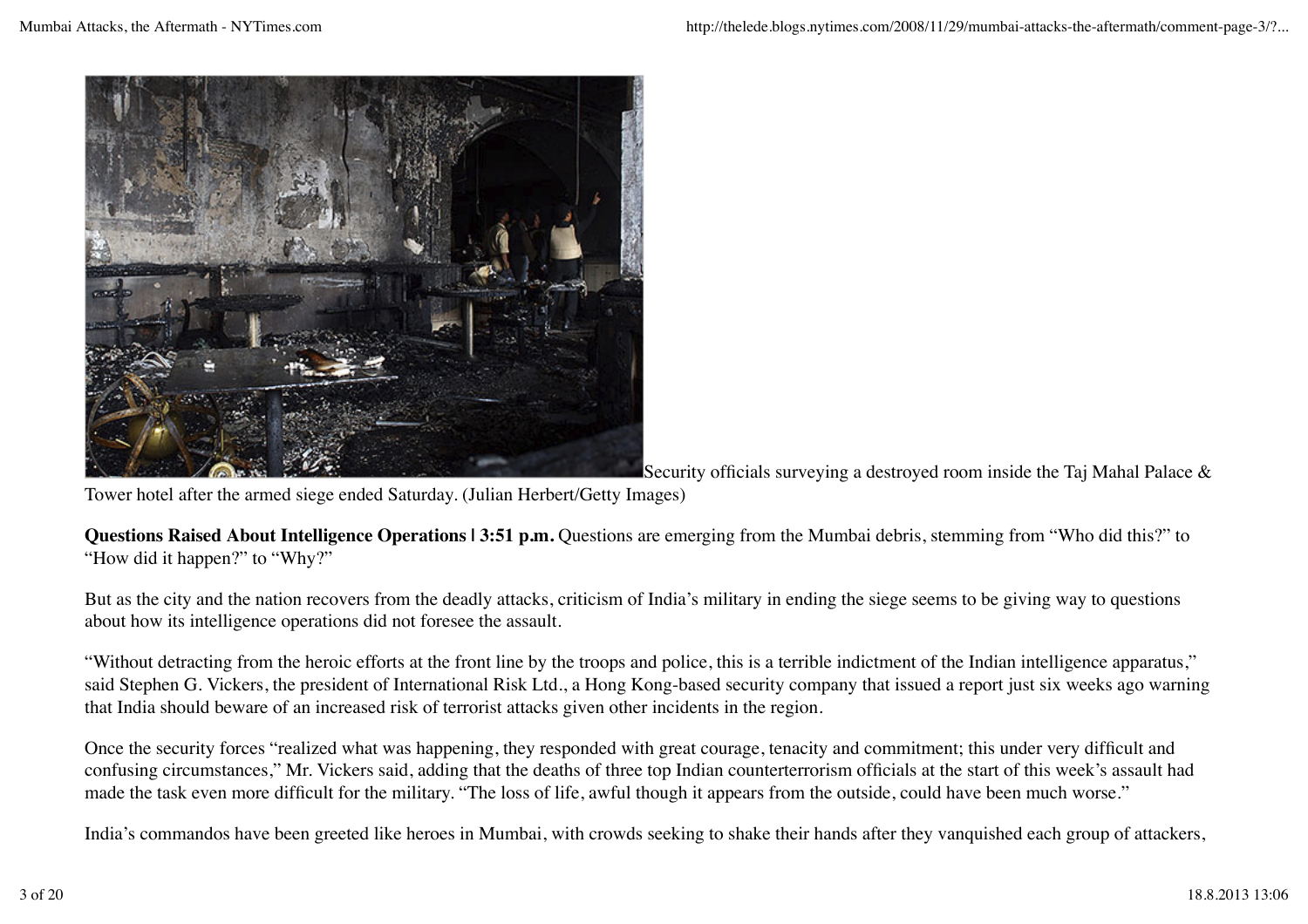

Security officials surveying a destroyed room inside the Taj Mahal Palace  $\&$ 

Tower hotel after the armed siege ended Saturday. (Julian Herbert/Getty Images)

**Questions Raised About Intelligence Operations | 3:51 p.m.** Questions are emerging from the Mumbai debris, stemming from "Who did this?" to "How did it happen?" to "Why?"

But as the city and the nation recovers from the deadly attacks, criticism of India's military in ending the siege seems to be giving way to questions about how its intelligence operations did not foresee the assault.

"Without detracting from the heroic efforts at the front line by the troops and police, this is a terrible indictment of the Indian intelligence apparatus," said Stephen G. Vickers, the president of International Risk Ltd., a Hong Kong-based security company that issued a report just six weeks ago warning that India should beware of an increased risk of terrorist attacks given other incidents in the region.

Once the security forces "realized what was happening, they responded with great courage, tenacity and commitment; this under very difficult and confusing circumstances," Mr. Vickers said, adding that the deaths of three top Indian counterterrorism officials at the start of this week's assault had made the task even more difficult for the military. "The loss of life, awful though it appears from the outside, could have been much worse."

India's commandos have been greeted like heroes in Mumbai, with crowds seeking to shake their hands after they vanquished each group of attackers,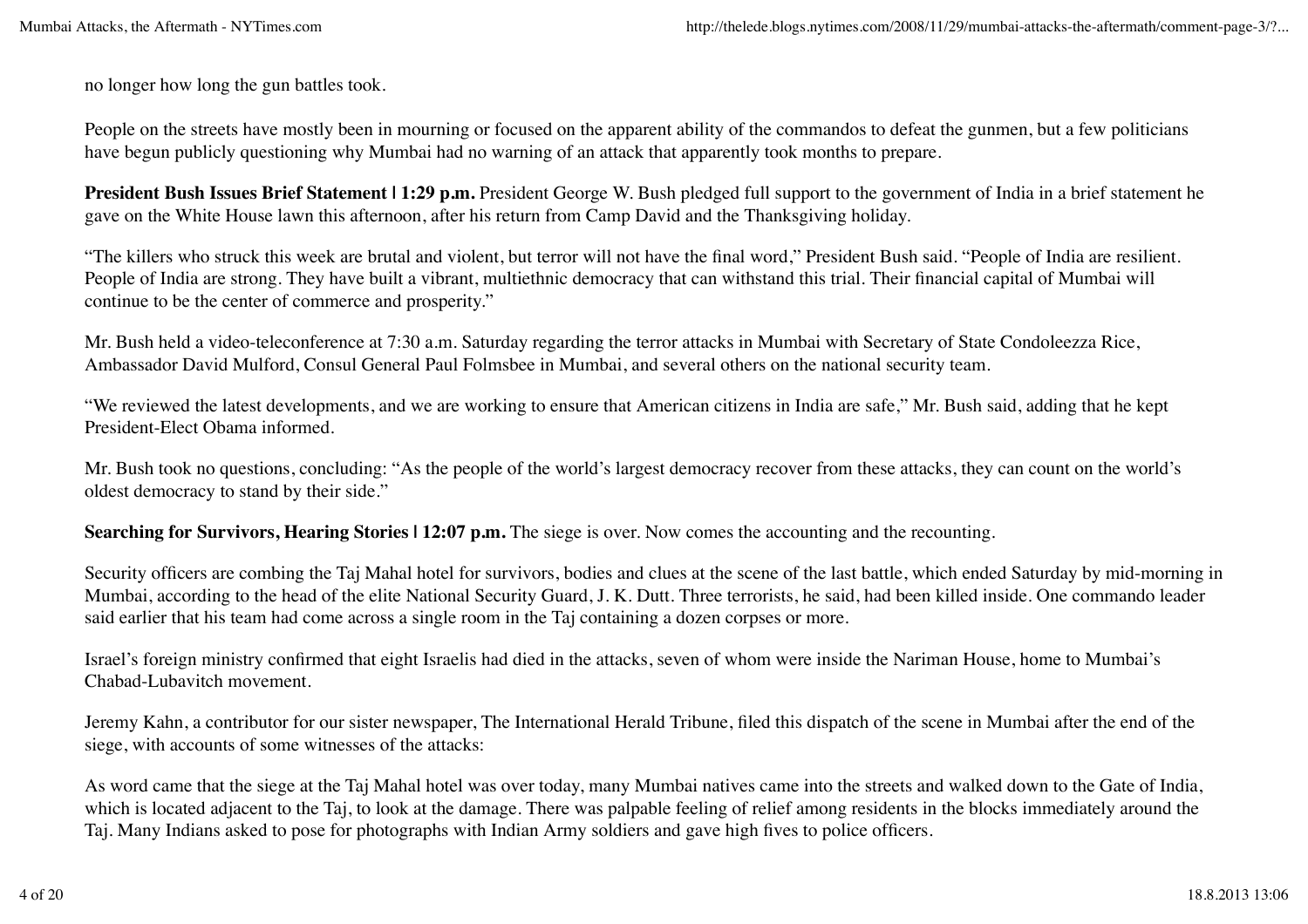no longer how long the gun battles took.

People on the streets have mostly been in mourning or focused on the apparent ability of the commandos to defeat the gunmen, but a few politicians have begun publicly questioning why Mumbai had no warning of an attack that apparently took months to prepare.

**President Bush Issues Brief Statement | 1:29 p.m.** President George W. Bush pledged full support to the government of India in a brief statement he gave on the White House lawn this afternoon, after his return from Camp David and the Thanksgiving holiday.

"The killers who struck this week are brutal and violent, but terror will not have the final word," President Bush said. "People of India are resilient. People of India are strong. They have built a vibrant, multiethnic democracy that can withstand this trial. Their financial capital of Mumbai will continue to be the center of commerce and prosperity."

Mr. Bush held a video-teleconference at 7:30 a.m. Saturday regarding the terror attacks in Mumbai with Secretary of State Condoleezza Rice, Ambassador David Mulford, Consul General Paul Folmsbee in Mumbai, and several others on the national security team.

"We reviewed the latest developments, and we are working to ensure that American citizens in India are safe," Mr. Bush said, adding that he kept President-Elect Obama informed.

Mr. Bush took no questions, concluding: "As the people of the world's largest democracy recover from these attacks, they can count on the world's oldest democracy to stand by their side."

**Searching for Survivors, Hearing Stories | 12:07 p.m.** The siege is over. Now comes the accounting and the recounting.

Security officers are combing the Taj Mahal hotel for survivors, bodies and clues at the scene of the last battle, which ended Saturday by mid-morning in Mumbai, according to the head of the elite National Security Guard, J. K. Dutt. Three terrorists, he said, had been killed inside. One commando leader said earlier that his team had come across a single room in the Taj containing a dozen corpses or more.

Israel's foreign ministry confirmed that eight Israelis had died in the attacks, seven of whom were inside the Nariman House, home to Mumbai's Chabad-Lubavitch movement.

Jeremy Kahn, a contributor for our sister newspaper, The International Herald Tribune, filed this dispatch of the scene in Mumbai after the end of the siege, with accounts of some witnesses of the attacks:

As word came that the siege at the Taj Mahal hotel was over today, many Mumbai natives came into the streets and walked down to the Gate of India, which is located adjacent to the Taj, to look at the damage. There was palpable feeling of relief among residents in the blocks immediately around the Taj. Many Indians asked to pose for photographs with Indian Army soldiers and gave high fives to police officers.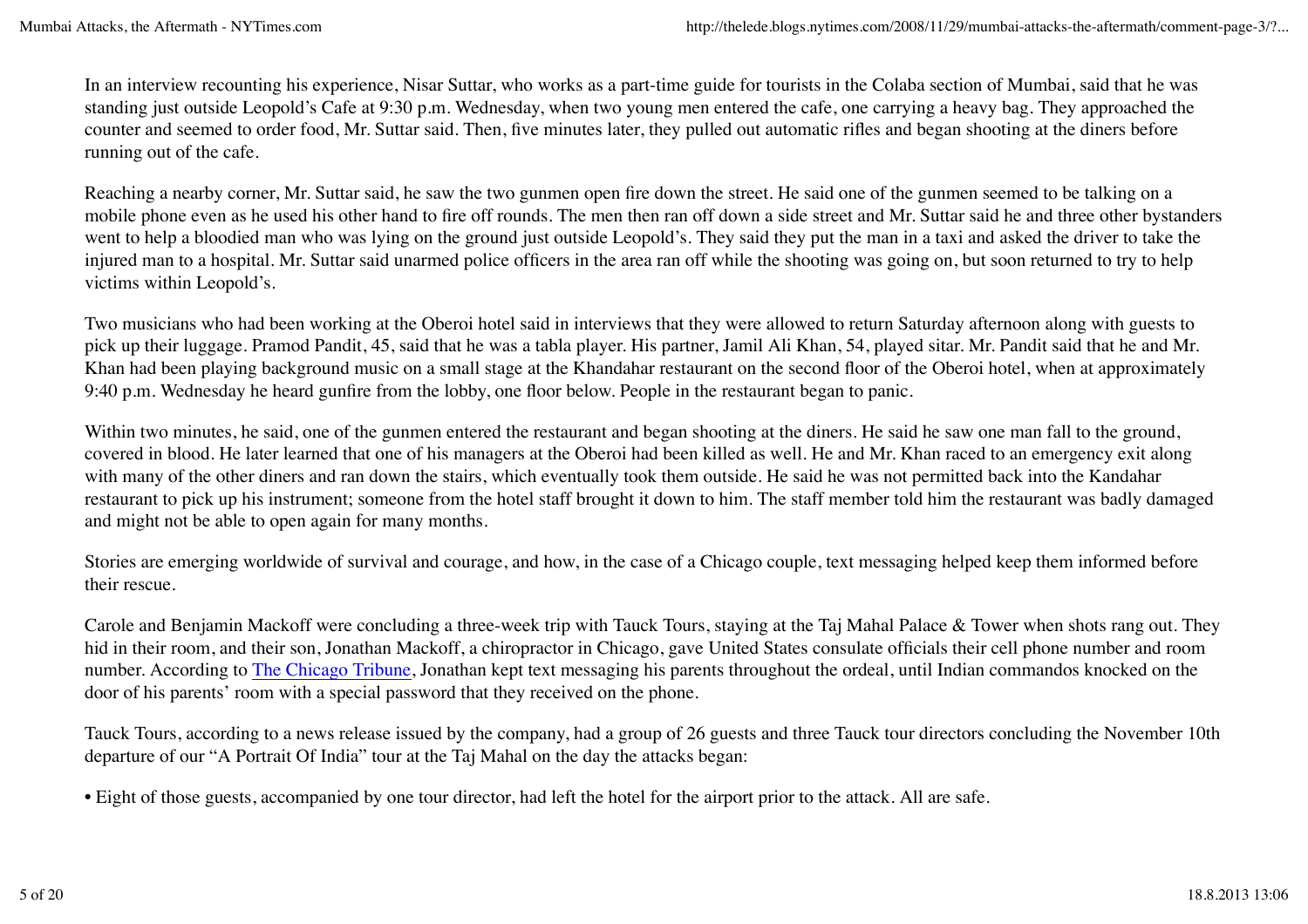In an interview recounting his experience, Nisar Suttar, who works as a part-time guide for tourists in the Colaba section of Mumbai, said that he was standing just outside Leopold's Cafe at 9:30 p.m. Wednesday, when two young men entered the cafe, one carrying a heavy bag. They approached the counter and seemed to order food, Mr. Suttar said. Then, five minutes later, they pulled out automatic rifles and began shooting at the diners before running out of the cafe.

Reaching a nearby corner, Mr. Suttar said, he saw the two gunmen open fire down the street. He said one of the gunmen seemed to be talking on a mobile phone even as he used his other hand to fire off rounds. The men then ran off down a side street and Mr. Suttar said he and three other bystanders went to help a bloodied man who was lying on the ground just outside Leopold's. They said they put the man in a taxi and asked the driver to take the injured man to a hospital. Mr. Suttar said unarmed police officers in the area ran off while the shooting was going on, but soon returned to try to help victims within Leopold's.

Two musicians who had been working at the Oberoi hotel said in interviews that they were allowed to return Saturday afternoon along with guests to pick up their luggage. Pramod Pandit, 45, said that he was a tabla player. His partner, Jamil Ali Khan, 54, played sitar. Mr. Pandit said that he and Mr. Khan had been playing background music on a small stage at the Khandahar restaurant on the second floor of the Oberoi hotel, when at approximately 9:40 p.m. Wednesday he heard gunfire from the lobby, one floor below. People in the restaurant began to panic.

Within two minutes, he said, one of the gunmen entered the restaurant and began shooting at the diners. He said he saw one man fall to the ground, covered in blood. He later learned that one of his managers at the Oberoi had been killed as well. He and Mr. Khan raced to an emergency exit along with many of the other diners and ran down the stairs, which eventually took them outside. He said he was not permitted back into the Kandahar restaurant to pick up his instrument; someone from the hotel staff brought it down to him. The staff member told him the restaurant was badly damaged and might not be able to open again for many months.

Stories are emerging worldwide of survival and courage, and how, in the case of a Chicago couple, text messaging helped keep them informed before their rescue.

Carole and Benjamin Mackoff were concluding a three-week trip with Tauck Tours, staying at the Taj Mahal Palace & Tower when shots rang out. They hid in their room, and their son, Jonathan Mackoff, a chiropractor in Chicago, gave United States consulate officials their cell phone number and room number. According to The Chicago Tribune, Jonathan kept text messaging his parents throughout the ordeal, until Indian commandos knocked on the door of his parents' room with a special password that they received on the phone.

Tauck Tours, according to a news release issued by the company, had a group of 26 guests and three Tauck tour directors concluding the November 10th departure of our "A Portrait Of India" tour at the Taj Mahal on the day the attacks began:

• Eight of those guests, accompanied by one tour director, had left the hotel for the airport prior to the attack. All are safe.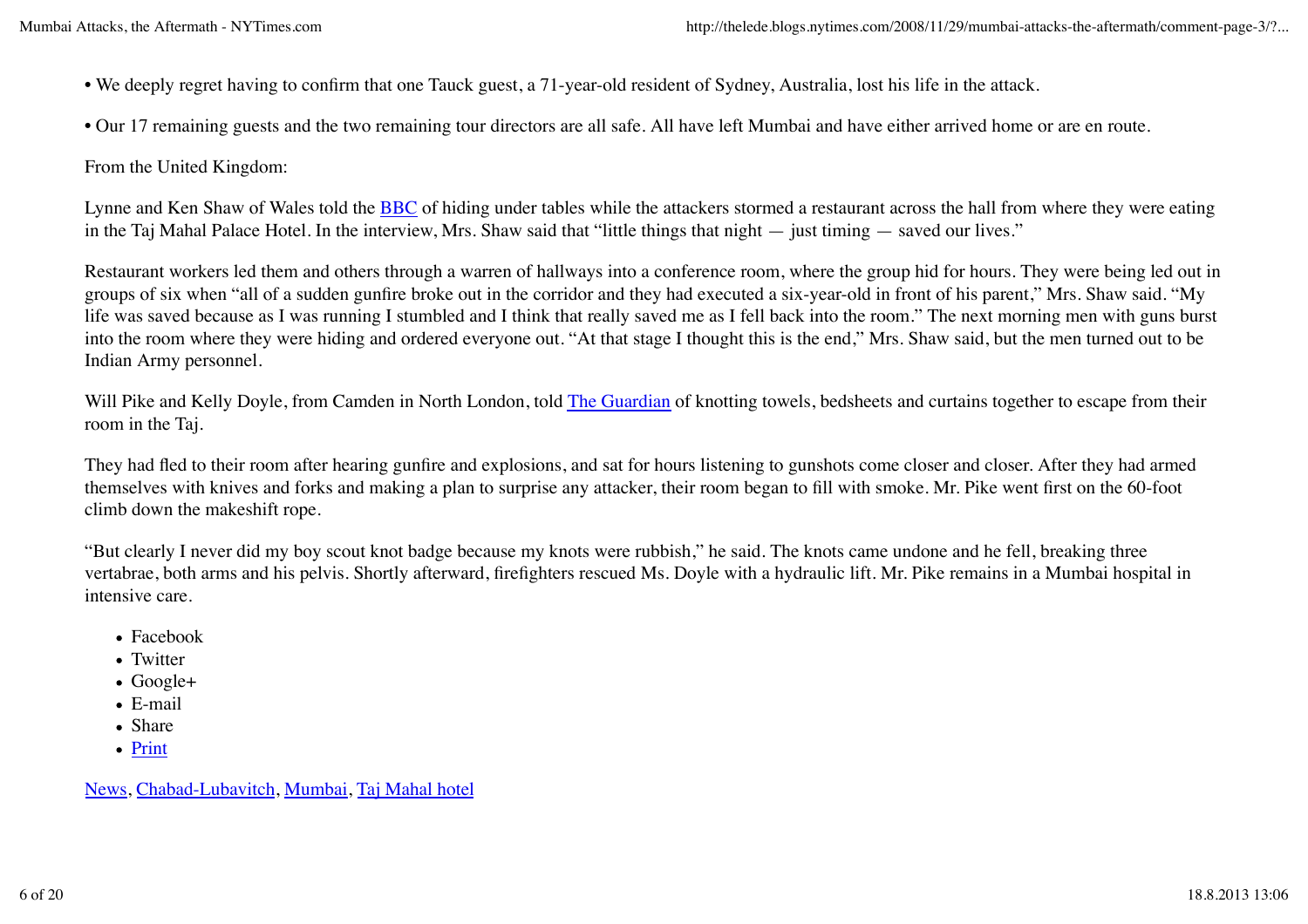- We deeply regret having to confirm that one Tauck guest, a 71-year-old resident of Sydney, Australia, lost his life in the attack.
- Our 17 remaining guests and the two remaining tour directors are all safe. All have left Mumbai and have either arrived home or are en route.

From the United Kingdom:

Lynne and Ken Shaw of Wales told the BBC of hiding under tables while the attackers stormed a restaurant across the hall from where they were eating in the Taj Mahal Palace Hotel. In the interview, Mrs. Shaw said that "little things that night — just timing — saved our lives."

Restaurant workers led them and others through a warren of hallways into a conference room, where the group hid for hours. They were being led out in groups of six when "all of a sudden gunfire broke out in the corridor and they had executed a six-year-old in front of his parent," Mrs. Shaw said. "My life was saved because as I was running I stumbled and I think that really saved me as I fell back into the room." The next morning men with guns burst into the room where they were hiding and ordered everyone out. "At that stage I thought this is the end," Mrs. Shaw said, but the men turned out to be Indian Army personnel.

Will Pike and Kelly Doyle, from Camden in North London, told The Guardian of knotting towels, bedsheets and curtains together to escape from their room in the Taj.

They had fled to their room after hearing gunfire and explosions, and sat for hours listening to gunshots come closer and closer. After they had armed themselves with knives and forks and making a plan to surprise any attacker, their room began to fill with smoke. Mr. Pike went first on the 60-foot climb down the makeshift rope.

"But clearly I never did my boy scout knot badge because my knots were rubbish," he said. The knots came undone and he fell, breaking three vertabrae, both arms and his pelvis. Shortly afterward, firefighters rescued Ms. Doyle with a hydraulic lift. Mr. Pike remains in a Mumbai hospital in intensive care.

- Facebook
- Twitter
- Google+
- E-mail
- Share
- Print

News, Chabad-Lubavitch, Mumbai, Taj Mahal hotel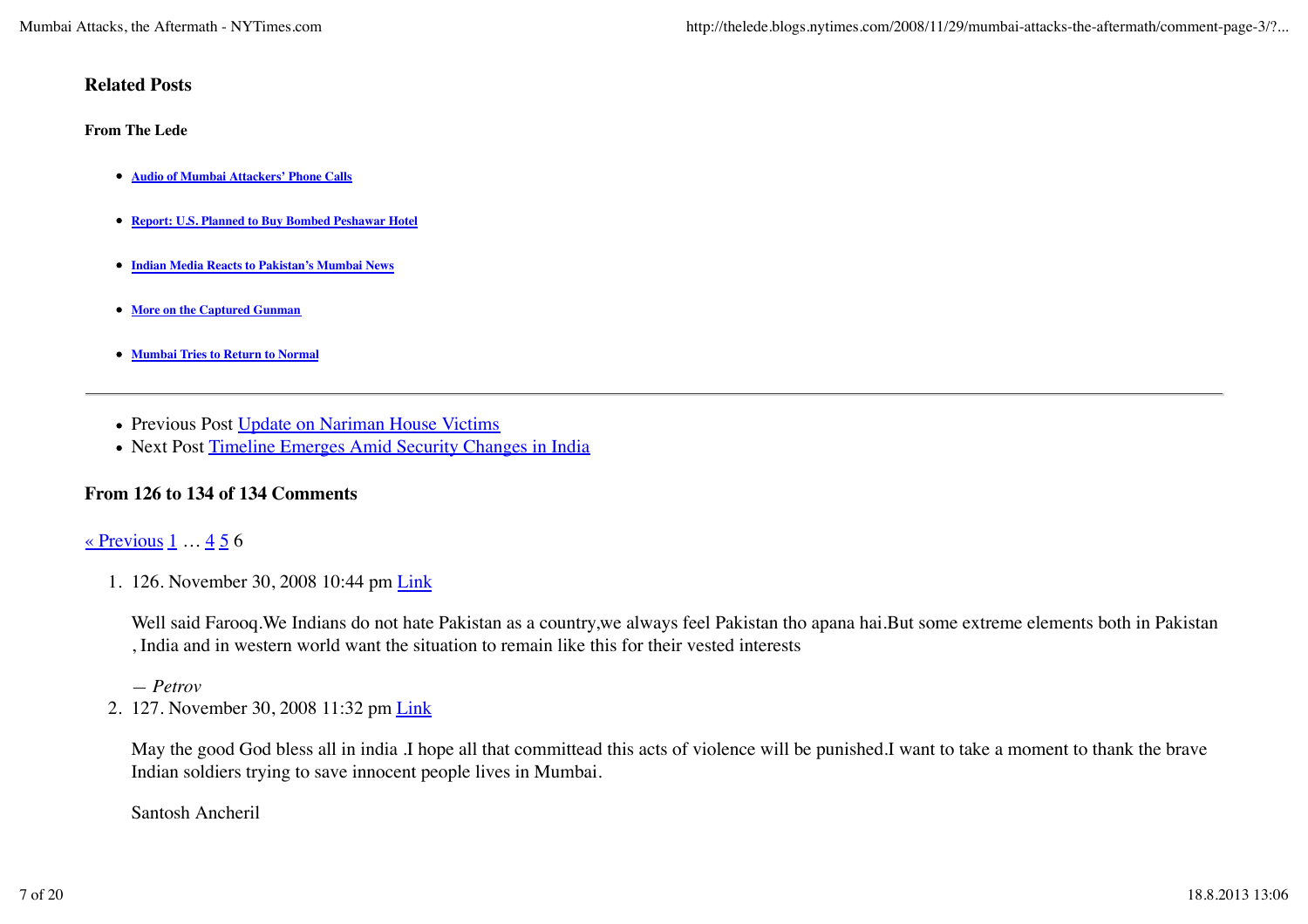#### **Related Posts**

#### **From The Lede**

- **Audio of Mumbai Attackers' Phone Calls**
- **Report: U.S. Planned to Buy Bombed Peshawar Hotel**
- **Indian Media Reacts to Pakistan's Mumbai News**
- **More on the Captured Gunman**
- **Mumbai Tries to Return to Normal**
- Previous Post Update on Nariman House Victims
- Next Post Timeline Emerges Amid Security Changes in India

#### **From 126 to 134 of 134 Comments**

#### « Previous  $1 \dots 456$

1. 126. November 30, 2008 10:44 pm Link

Well said Farooq.We Indians do not hate Pakistan as a country,we always feel Pakistan tho apana hai.But some extreme elements both in Pakistan , India and in western world want the situation to remain like this for their vested interests

- *Petrov*
- 2. 127. November 30, 2008 11:32 pm <u>Link</u>

May the good God bless all in india .I hope all that committead this acts of violence will be punished.I want to take a moment to thank the brave Indian soldiers trying to save innocent people lives in Mumbai.

Santosh Ancheril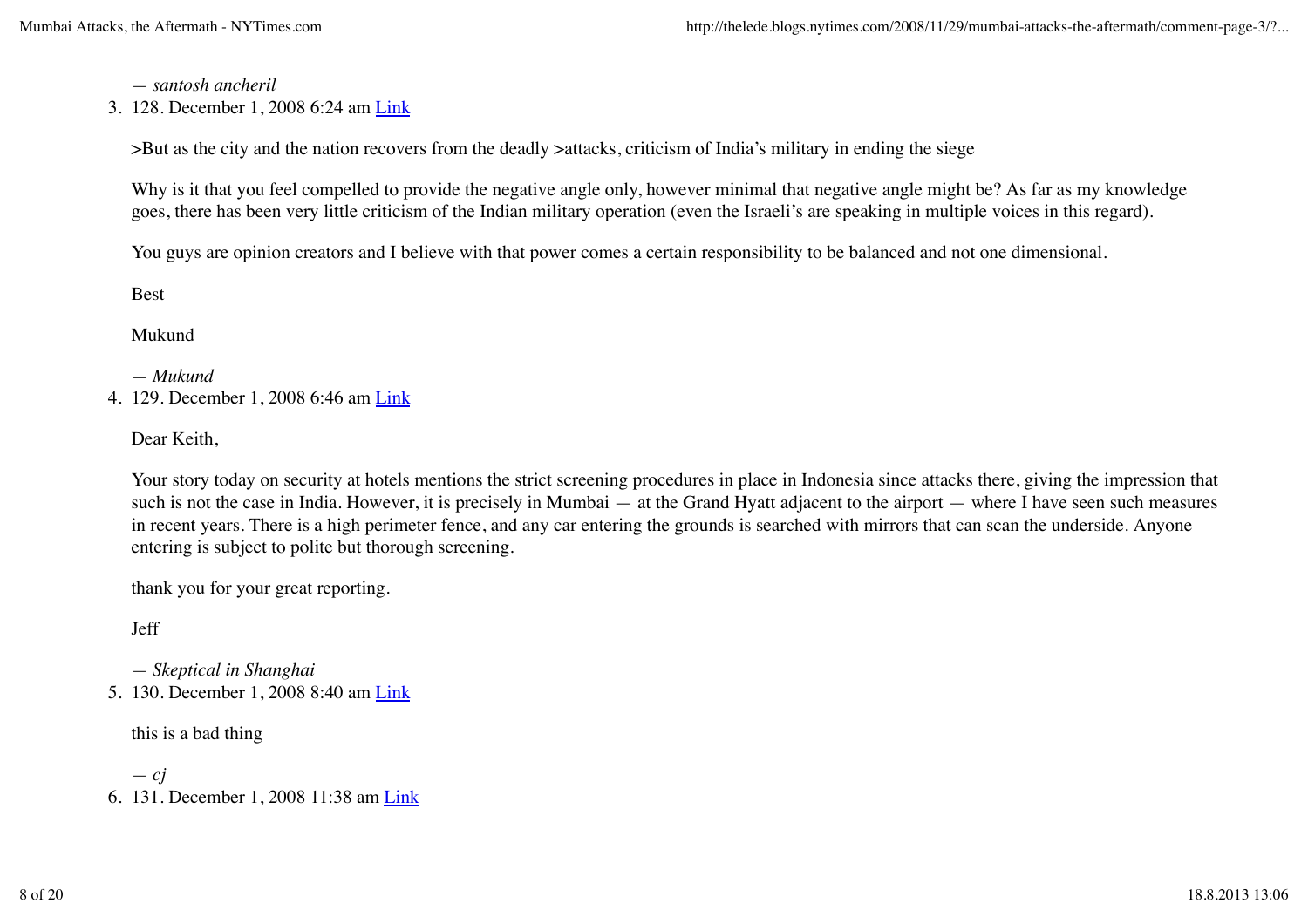*— santosh ancheril*

3. 128. December 1, 2008 6:24 am Link

>But as the city and the nation recovers from the deadly >attacks, criticism of India's military in ending the siege

Why is it that you feel compelled to provide the negative angle only, however minimal that negative angle might be? As far as my knowledge goes, there has been very little criticism of the Indian military operation (even the Israeli's are speaking in multiple voices in this regard).

You guys are opinion creators and I believe with that power comes a certain responsibility to be balanced and not one dimensional.

Best

Mukund

*— Mukund*

4. 129. December 1, 2008 6:46 am <u>Link</u>

Dear Keith,

Your story today on security at hotels mentions the strict screening procedures in place in Indonesia since attacks there, giving the impression that such is not the case in India. However, it is precisely in Mumbai — at the Grand Hyatt adjacent to the airport — where I have seen such measures in recent years. There is a high perimeter fence, and any car entering the grounds is searched with mirrors that can scan the underside. Anyone entering is subject to polite but thorough screening.

thank you for your great reporting.

Jeff

*— Skeptical in Shanghai* 5. 130. December 1, 2008 8:40 am Link

this is a bad thing

*— cj* 6. 131. December 1, 2008 11:38 am Link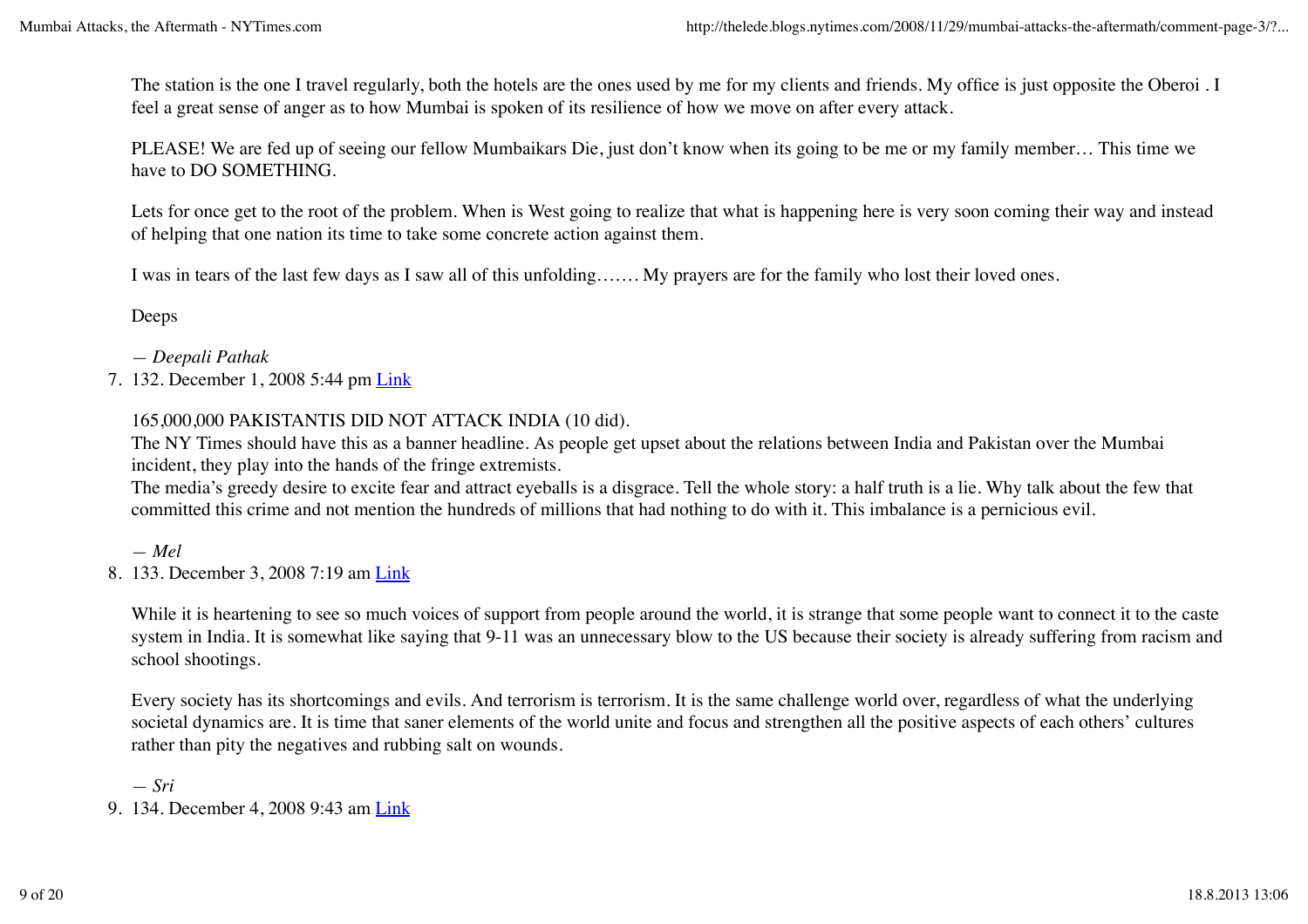The station is the one I travel regularly, both the hotels are the ones used by me for my clients and friends. My office is just opposite the Oberoi . I feel a great sense of anger as to how Mumbai is spoken of its resilience of how we move on after every attack.

PLEASE! We are fed up of seeing our fellow Mumbaikars Die, just don't know when its going to be me or my family member… This time we have to DO SOMETHING.

Lets for once get to the root of the problem. When is West going to realize that what is happening here is very soon coming their way and instead of helping that one nation its time to take some concrete action against them.

I was in tears of the last few days as I saw all of this unfolding……. My prayers are for the family who lost their loved ones.

Deeps

*— Deepali Pathak*

7. 132. December 1, 2008 5:44 pm <u>Link</u>

165,000,000 PAKISTANTIS DID NOT ATTACK INDIA (10 did).

The NY Times should have this as a banner headline. As people get upset about the relations between India and Pakistan over the Mumbai incident, they play into the hands of the fringe extremists.

The media's greedy desire to excite fear and attract eyeballs is a disgrace. Tell the whole story: a half truth is a lie. Why talk about the few that committed this crime and not mention the hundreds of millions that had nothing to do with it. This imbalance is a pernicious evil.

*— Mel*

8. 133. December 3, 2008 7:19 am <u>Link</u>

While it is heartening to see so much voices of support from people around the world, it is strange that some people want to connect it to the caste system in India. It is somewhat like saying that 9-11 was an unnecessary blow to the US because their society is already suffering from racism and school shootings.

Every society has its shortcomings and evils. And terrorism is terrorism. It is the same challenge world over, regardless of what the underlying societal dynamics are. It is time that saner elements of the world unite and focus and strengthen all the positive aspects of each others' cultures rather than pity the negatives and rubbing salt on wounds.

*— Sri*

9. 134. December 4, 2008 9:43 am Link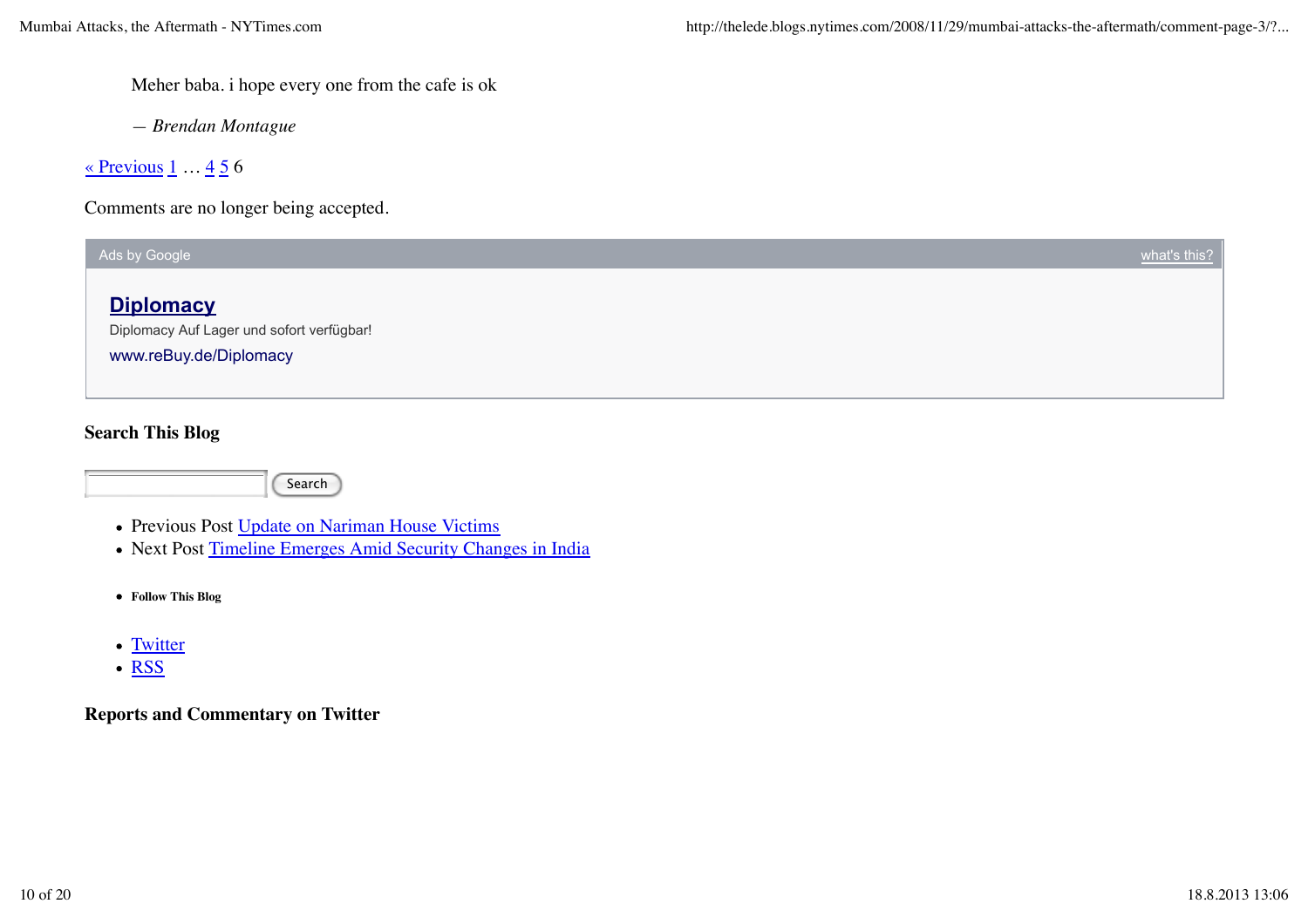Meher baba. i hope every one from the cafe is ok

*— Brendan Montague*

« Previous  $1 \dots 456$ 

Comments are no longer being accepted.

| Ads by Google                                                                           | what's this? |
|-----------------------------------------------------------------------------------------|--------------|
| <b>Diplomacy</b><br>Diplomacy Auf Lager und sofort verfügbar!<br>www.reBuy.de/Diplomacy |              |

#### **Search This Blog**



**Search** 

- Previous Post Update on Nariman House Victims
- Next Post Timeline Emerges Amid Security Changes in India
- **Follow This Blog**
- Twitter
- RSS

**Reports and Commentary on Twitter**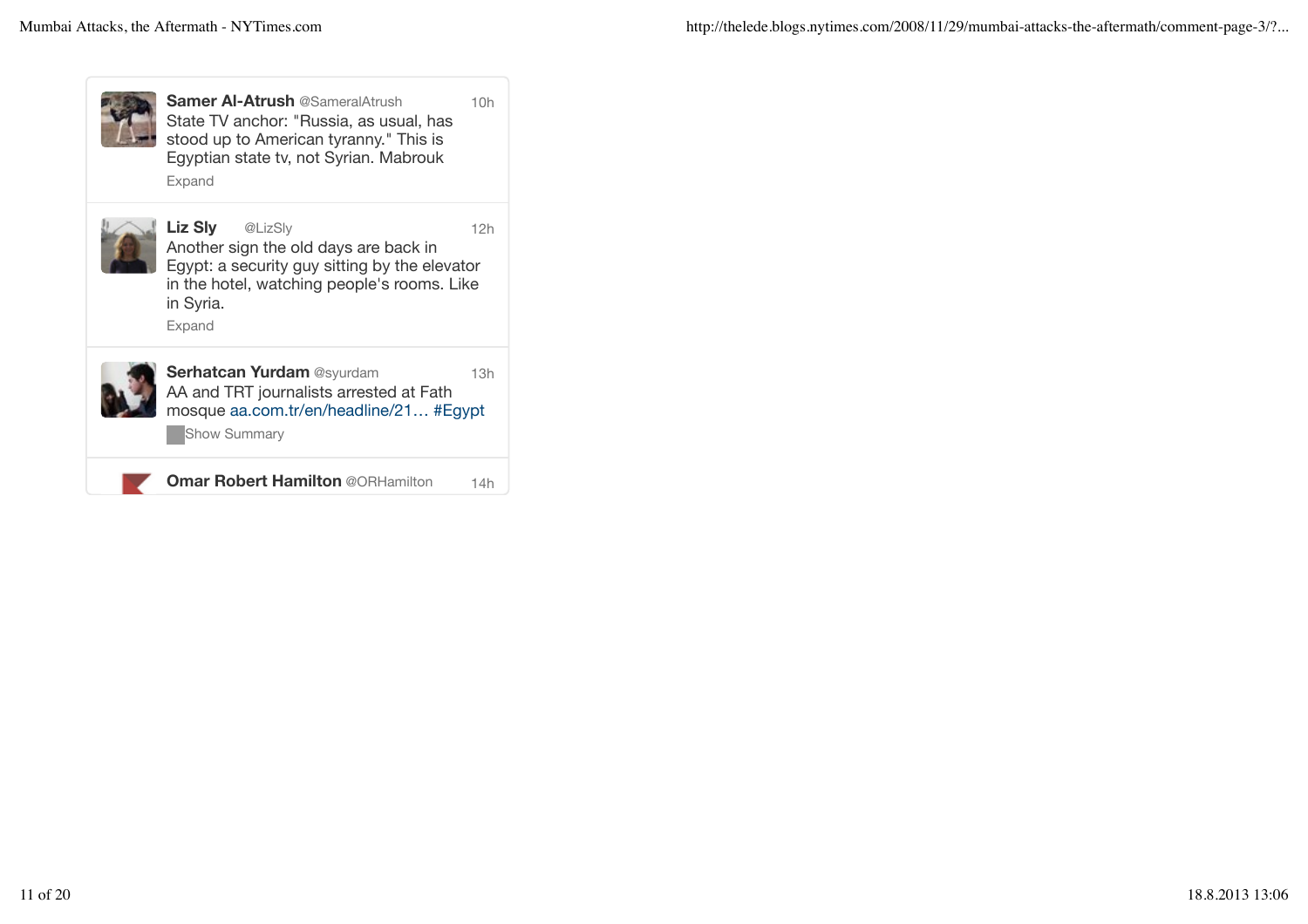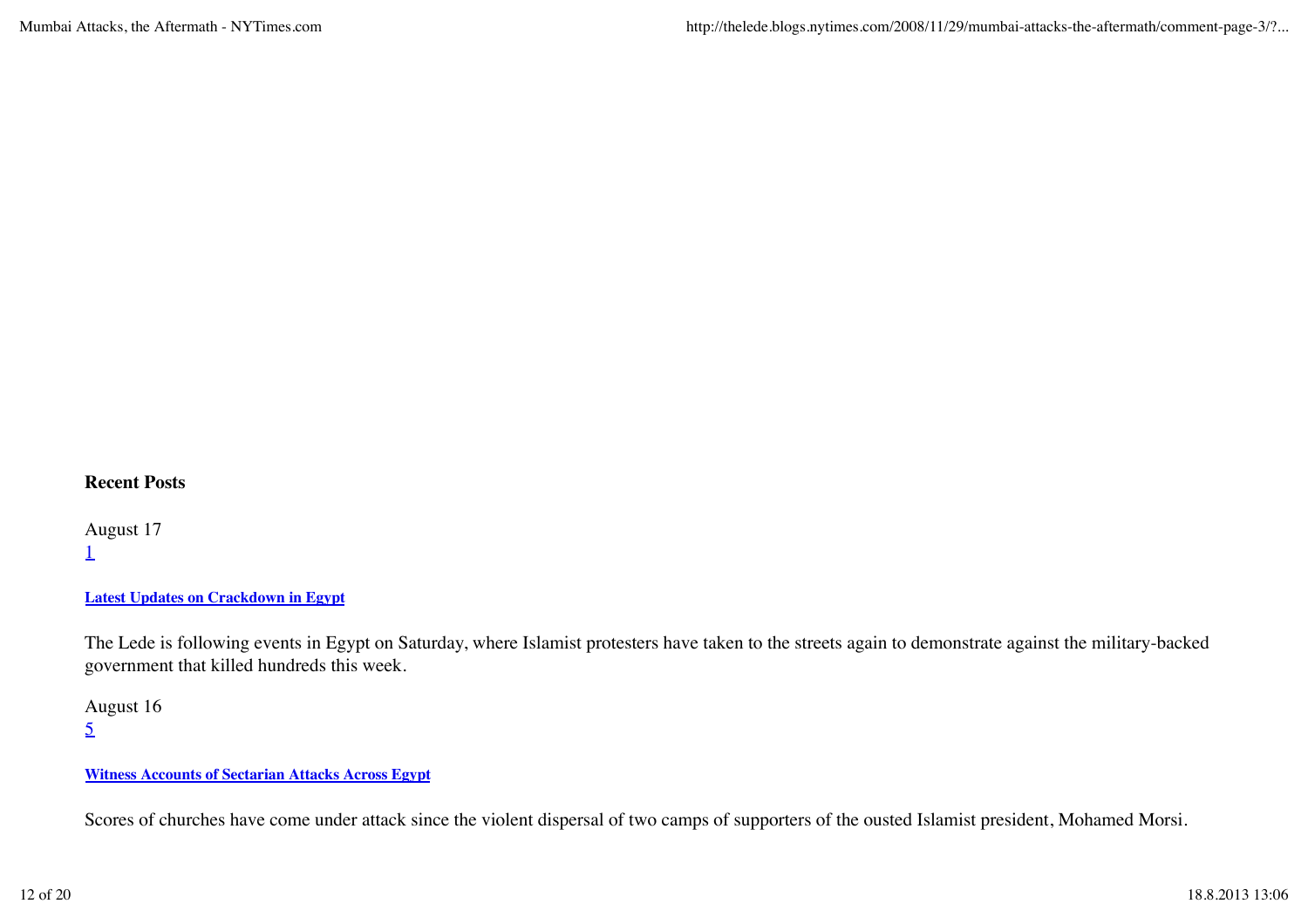#### **Recent Posts**

August 17 1

### **Latest Updates on Crackdown in Egypt**

The Lede is following events in Egypt on Saturday, where Islamist protesters have taken to the streets again to demonstrate against the military-backed government that killed hundreds this week.

August 16 5

#### **Witness Accounts of Sectarian Attacks Across Egypt**

Scores of churches have come under attack since the violent dispersal of two camps of supporters of the ousted Islamist president, Mohamed Morsi.